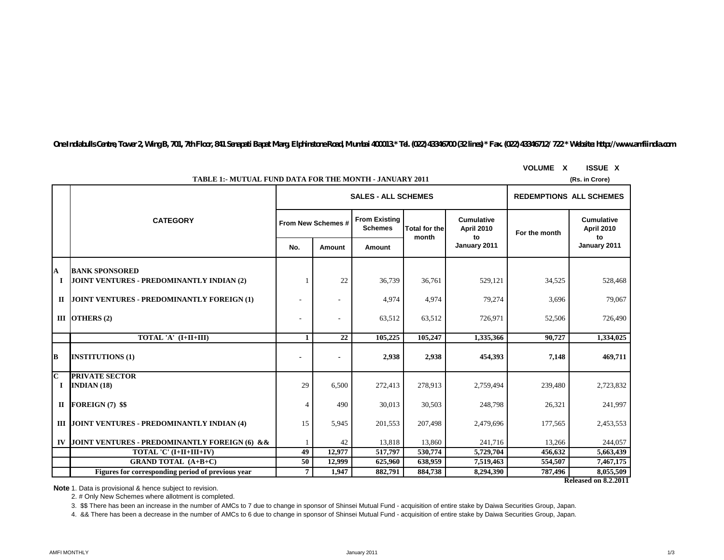*One Indiabulls Centre, Tower 2, Wing B, 701, 7th Floor, 841 Senapati Bapat Marg, Elphinstone Road, Mumbai 400013.\* Tel. (022) 43346700 (32 lines) \* Fax. (022) 43346712/ 722 \* Website: http://www.amfiindia.com*

| <b>TABLE 1:- MUTUAL FUND DATA FOR THE MONTH - JANUARY 2011</b><br>(Rs. in Crore) |                                                                    |                          |                    |                                        |                               |                                       |               |                                              |  |
|----------------------------------------------------------------------------------|--------------------------------------------------------------------|--------------------------|--------------------|----------------------------------------|-------------------------------|---------------------------------------|---------------|----------------------------------------------|--|
|                                                                                  |                                                                    |                          |                    | <b>SALES - ALL SCHEMES</b>             |                               | <b>REDEMPTIONS ALL SCHEMES</b>        |               |                                              |  |
|                                                                                  | <b>CATEGORY</b>                                                    |                          | From New Schemes # | <b>From Existing</b><br><b>Schemes</b> | <b>Total for the</b><br>month | Cumulative<br><b>April 2010</b><br>to | For the month | <b>Cumulative</b><br><b>April 2010</b><br>to |  |
|                                                                                  |                                                                    | No.                      | Amount             | Amount                                 |                               | January 2011                          |               | January 2011                                 |  |
| A<br>1                                                                           | <b>BANK SPONSORED</b><br>JOINT VENTURES - PREDOMINANTLY INDIAN (2) |                          | 22                 | 36,739                                 | 36,761                        | 529,121                               | 34,525        | 528,468                                      |  |
|                                                                                  | II JOINT VENTURES - PREDOMINANTLY FOREIGN (1)                      |                          |                    | 4,974                                  | 4,974                         | 79,274                                | 3,696         | 79,067                                       |  |
|                                                                                  | III OTHERS $(2)$                                                   | ٠                        |                    | 63,512                                 | 63,512                        | 726,971                               | 52,506        | 726,490                                      |  |
|                                                                                  | TOTAL 'A' (I+II+III)                                               | 1                        | 22                 | 105,225                                | 105,247                       | 1,335,366                             | 90,727        | 1,334,025                                    |  |
| B                                                                                | <b>INSTITUTIONS (1)</b>                                            | $\overline{\phantom{a}}$ |                    | 2,938                                  | 2,938                         | 454,393                               | 7,148         | 469,711                                      |  |
| $\overline{\mathbf{C}}$<br>$\bf{I}$                                              | <b>PRIVATE SECTOR</b><br>INDIAN(18)                                | 29                       | 6,500              | 272,413                                | 278,913                       | 2,759,494                             | 239,480       | 2,723,832                                    |  |
|                                                                                  | II FOREIGN (7) \$\$                                                | 4                        | 490                | 30,013                                 | 30,503                        | 248,798                               | 26,321        | 241,997                                      |  |
|                                                                                  | III JOINT VENTURES - PREDOMINANTLY INDIAN (4)                      | 15                       | 5,945              | 201,553                                | 207,498                       | 2,479,696                             | 177,565       | 2,453,553                                    |  |
|                                                                                  | IV JOINT VENTURES - PREDOMINANTLY FOREIGN (6) & &                  |                          | 42                 | 13,818                                 | 13,860                        | 241,716                               | 13,266        | 244,057                                      |  |
|                                                                                  | TOTAL 'C' (I+II+III+IV)                                            | 49                       | 12.977             | 517,797                                | 530,774                       | 5,729,704                             | 456,632       | 5,663,439                                    |  |
|                                                                                  | <b>GRAND TOTAL (A+B+C)</b>                                         | 50                       | 12.999             | 625,960                                | 638,959                       | 7.519.463                             | 554,507       | 7,467,175                                    |  |
|                                                                                  | Figures for corresponding period of previous year                  | 7 <sup>1</sup>           | 1.947              | 882,791                                | 884,738                       | 8,294,390                             | 787,496       | 8,055,509                                    |  |

**VOLUME X ISSUE X**

**Note**:1. Data is provisional & hence subject to revision.

2. # Only New Schemes where allotment is completed.

3. \$\$ There has been an increase in the number of AMCs to 7 due to change in sponsor of Shinsei Mutual Fund - acquisition of entire stake by Daiwa Securities Group, Japan.

4. && There has been a decrease in the number of AMCs to 6 due to change in sponsor of Shinsei Mutual Fund - acquisition of entire stake by Daiwa Securities Group, Japan.

**Released on 8.2.2011**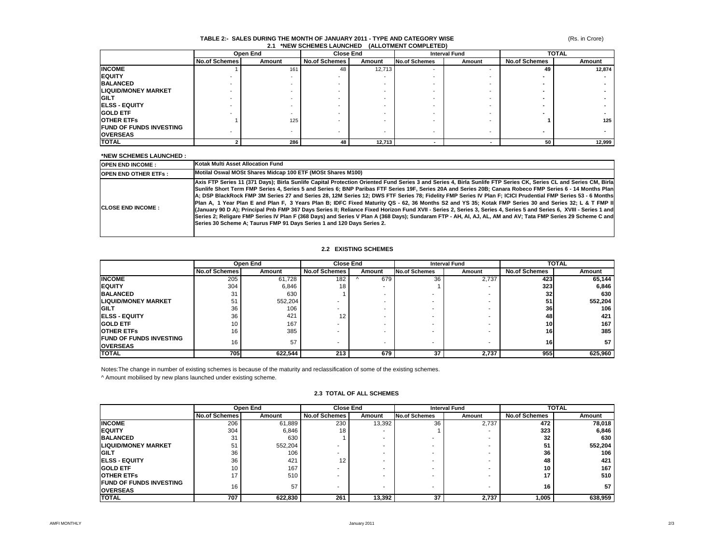#### (Rs. in Crore)

# **TABLE 2:- SALES DURING THE MONTH OF JANUARY 2011 - TYPE AND CATEGORY WISE 2.1 \*NEW SCHEMES LAUNCHED (ALLOTMENT COMPLETED)**

|                                | Open End             |        | <b>Close End</b>     |        | <b>Interval Fund</b> |        | <b>TOTAL</b>         |        |
|--------------------------------|----------------------|--------|----------------------|--------|----------------------|--------|----------------------|--------|
|                                | <b>No.of Schemes</b> | Amount | <b>No.of Schemes</b> | Amount | <b>No.of Schemes</b> | Amount | <b>No.of Schemes</b> | Amount |
| <b>INCOME</b>                  |                      | 161    | 48                   | 12,713 |                      |        | 49                   | 12,874 |
| <b>EQUITY</b>                  |                      |        |                      |        |                      |        |                      |        |
| <b>BALANCED</b>                |                      |        |                      |        |                      |        |                      |        |
| <b>LIQUID/MONEY MARKET</b>     |                      |        |                      |        |                      |        |                      |        |
| <b>GILT</b>                    |                      |        |                      |        |                      |        |                      |        |
| <b>ELSS - EQUITY</b>           |                      |        |                      |        |                      |        |                      |        |
| <b>GOLD ETF</b>                |                      |        |                      |        |                      |        |                      |        |
| <b>OTHER ETFS</b>              |                      | 125    |                      |        |                      |        |                      | 125    |
| <b>FUND OF FUNDS INVESTING</b> |                      |        |                      |        |                      |        |                      |        |
| <b>OVERSEAS</b>                |                      |        |                      |        |                      |        |                      |        |
| <b>TOTAL</b>                   |                      | 286    | 48                   | 12.713 |                      |        | 50                   | 12,999 |

### **\*NEW SCHEMES LAUNCHED :**

| <b>IOPEN END INCOME:</b>    | Kotak Multi Asset Allocation Fund                                                                                                                                                                                                                                                                                                                                                                                                                                                                                                                                                                                                                                                                                                                                                                                                                                                                                                                                                                                                                                         |
|-----------------------------|---------------------------------------------------------------------------------------------------------------------------------------------------------------------------------------------------------------------------------------------------------------------------------------------------------------------------------------------------------------------------------------------------------------------------------------------------------------------------------------------------------------------------------------------------------------------------------------------------------------------------------------------------------------------------------------------------------------------------------------------------------------------------------------------------------------------------------------------------------------------------------------------------------------------------------------------------------------------------------------------------------------------------------------------------------------------------|
| <b>OPEN END OTHER ETFS:</b> | Motilal Oswal MOSt Shares Midcap 100 ETF (MOSt Shares M100)                                                                                                                                                                                                                                                                                                                                                                                                                                                                                                                                                                                                                                                                                                                                                                                                                                                                                                                                                                                                               |
| <b>ICLOSE END INCOME :</b>  | Axis FTP Series 11 (371 Days); Birla Sunlife Capital Protection Oriented Fund Series 3 and Series 4, Birla Sunlife FTP Series CK, Series CL and Series CM, Birla<br>Sunlife Short Term FMP Series 4, Series 5 and Series 6; BNP Paribas FTF Series 19F, Series 20A and Series 20B; Canara Robeco FMP Series 6 - 14 Months Plan<br>A; DSP BlackRock FMP 3M Series 27 and Series 28, 12M Series 12; DWS FTF Series 78; Fidelity FMP Series IV Plan F; ICICI Prudential FMP Series 53 - 6 Months<br>Plan A, 1 Year Plan E and Plan F, 3 Years Plan B; IDFC Fixed Maturity QS - 62, 36 Months S2 and YS 35; Kotak FMP Series 30 and Series 32; L & T FMP II<br>(January 90 D A); Principal Pnb FMP 367 Days Series II; Reliance Fixed Horizon Fund XVII - Series 2, Series 3, Series 4, Series 5 and Series 6, XVIII - Series 1 and<br>Series 2; Religare FMP Series IV Plan F (368 Days) and Series V Plan A (368 Days); Sundaram FTP - AH, AI, AJ, AL, AM and AV; Tata FMP Series 29 Scheme C and<br>Series 30 Scheme A: Taurus FMP 91 Davs Series 1 and 120 Davs Series 2. |

#### **2.2 EXISTING SCHEMES**

|                                 | Open End             |         | <b>Close End</b>     |                          |                      | <b>Interval Fund</b> |                      | <b>TOTAL</b>    |
|---------------------------------|----------------------|---------|----------------------|--------------------------|----------------------|----------------------|----------------------|-----------------|
|                                 | <b>No.of Schemes</b> | Amount  | <b>No.of Schemes</b> | Amount                   | <b>No.of Schemes</b> | Amount               | <b>No.of Schemes</b> | Amount          |
| <b>INCOME</b>                   | 205                  | 61,728  | 182                  | 679                      | 36                   | 2,737                | 423                  | 65,144          |
| <b>IEQUITY</b>                  | 304                  | 6,846   | 18                   |                          |                      |                      | 323                  | 6,846           |
| <b>BALANCED</b>                 | 31                   | 630     |                      |                          |                      |                      | 32                   | 630             |
| <b>ILIQUID/MONEY MARKET</b>     | 51                   | 552,204 |                      |                          |                      |                      | 51                   | 552,204         |
| <b>GILT</b>                     | 36                   | 106     |                      |                          |                      |                      | 36                   | 106             |
| <b>IELSS - EQUITY</b>           | 36                   | 421     | 12                   |                          |                      |                      | 48                   | 421             |
| <b>IGOLD ETF</b>                | 10                   | 167     |                      | $\overline{\phantom{a}}$ |                      |                      | 10I                  | 167             |
| <b>OTHER ETFS</b>               | 16                   | 385     |                      |                          | -                    |                      | <b>16</b>            | 385             |
| <b>IFUND OF FUNDS INVESTING</b> | 16                   | 57      |                      | $\overline{\phantom{a}}$ | -                    |                      | 16                   | 57 <sub>1</sub> |
| <b>OVERSEAS</b><br><b>TOTAL</b> | 705                  | 622,544 | 213                  | 679                      | 37                   | 2,737                | 955I                 | 625,960         |
|                                 |                      |         |                      |                          |                      |                      |                      |                 |

Notes:The change in number of existing schemes is because of the maturity and reclassification of some of the existing schemes.

^ Amount mobilised by new plans launched under existing scheme.

|                                                    |                      | Open End | <b>Close End</b>     |        | <b>Interval Fund</b> |        | <b>TOTAL</b>         |         |
|----------------------------------------------------|----------------------|----------|----------------------|--------|----------------------|--------|----------------------|---------|
|                                                    | <b>No.of Schemes</b> | Amount   | <b>No.of Schemes</b> | Amount | <b>No.of Schemes</b> | Amount | <b>No.of Schemes</b> | Amount  |
| <b>INCOME</b>                                      | 206                  | 61,889   | 230                  | 13,392 | 36                   | 2,737  | 472                  | 78.018  |
| <b>EQUITY</b>                                      | 304                  | 6,846    | 18                   |        |                      |        | 323                  | 6,846   |
| <b>BALANCED</b>                                    | 31                   | 630      |                      |        |                      |        | 32                   | 630     |
| <b>LIQUID/MONEY MARKET</b>                         | 51                   | 552,204  |                      |        |                      |        | 51                   | 552,204 |
| <b>GILT</b>                                        | 36                   | 106      |                      |        |                      |        | 36                   | 106     |
| <b>ELSS - EQUITY</b>                               | 36                   | 421      | 12                   |        |                      |        | 48                   | 421     |
| <b>GOLD ETF</b>                                    |                      | 167      |                      |        |                      |        | 10                   | 167     |
| <b>OTHER ETFS</b>                                  |                      | 510      |                      |        |                      |        | 17                   | 510     |
| <b>IFUND OF FUNDS INVESTING</b><br><b>OVERSEAS</b> | 16                   | 57       | -                    |        |                      |        | 16                   | 57      |
| <b>TOTAL</b>                                       | 707                  | 622.830  | 261                  | 13,392 | 37                   | 2,737  | 1,005                | 638,959 |

#### **2.3 TOTAL OF ALL SCHEMES**